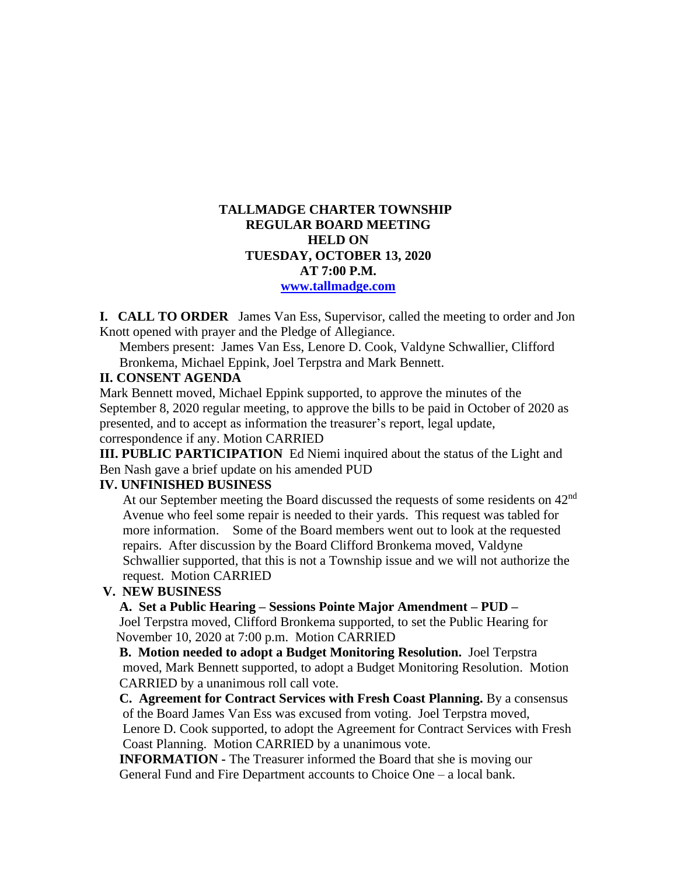## **TALLMADGE CHARTER TOWNSHIP REGULAR BOARD MEETING HELD ON TUESDAY, OCTOBER 13, 2020 AT 7:00 P.M. [www.tallmadge.com](http://www.tallmadge.com/)**

**I. CALL TO ORDER** James Van Ess, Supervisor, called the meeting to order and Jon Knott opened with prayer and the Pledge of Allegiance.

Members present: James Van Ess, Lenore D. Cook, Valdyne Schwallier, Clifford Bronkema, Michael Eppink, Joel Terpstra and Mark Bennett.

#### **II. CONSENT AGENDA**

Mark Bennett moved, Michael Eppink supported, to approve the minutes of the September 8, 2020 regular meeting, to approve the bills to be paid in October of 2020 as presented, and to accept as information the treasurer's report, legal update, correspondence if any. Motion CARRIED

**III. PUBLIC PARTICIPATION** Ed Niemi inquired about the status of the Light and Ben Nash gave a brief update on his amended PUD

## **IV. UNFINISHED BUSINESS**

At our September meeting the Board discussed the requests of some residents on  $42<sup>nd</sup>$  Avenue who feel some repair is needed to their yards. This request was tabled for more information. Some of the Board members went out to look at the requested repairs. After discussion by the Board Clifford Bronkema moved, Valdyne Schwallier supported, that this is not a Township issue and we will not authorize the request. Motion CARRIED

## **V. NEW BUSINESS**

#### **A. Set a Public Hearing – Sessions Pointe Major Amendment – PUD –**

 Joel Terpstra moved, Clifford Bronkema supported, to set the Public Hearing for November 10, 2020 at 7:00 p.m. Motion CARRIED

 **B. Motion needed to adopt a Budget Monitoring Resolution.** Joel Terpstra moved, Mark Bennett supported, to adopt a Budget Monitoring Resolution. Motion CARRIED by a unanimous roll call vote.

 **C. Agreement for Contract Services with Fresh Coast Planning.** By a consensus of the Board James Van Ess was excused from voting. Joel Terpstra moved, Lenore D. Cook supported, to adopt the Agreement for Contract Services with Fresh Coast Planning. Motion CARRIED by a unanimous vote.

 **INFORMATION -** The Treasurer informed the Board that she is moving our General Fund and Fire Department accounts to Choice One – a local bank.